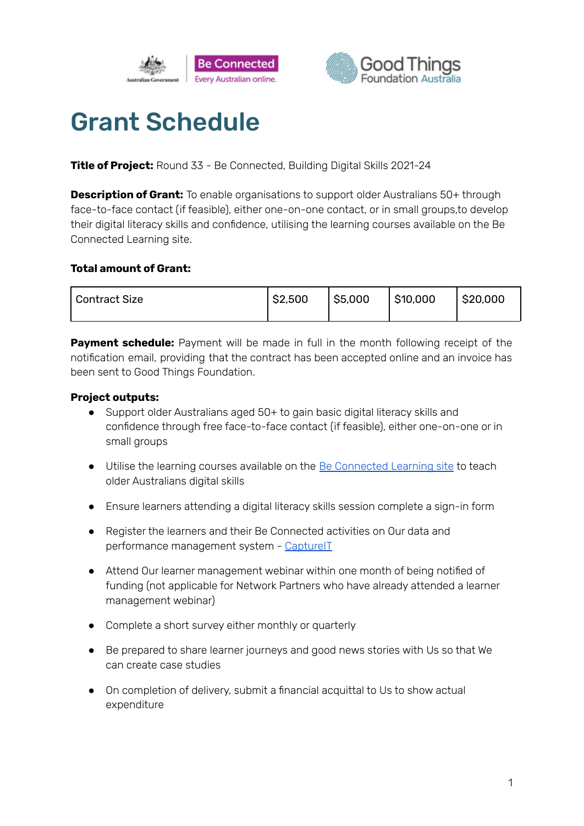



# Grant Schedule

**Title of Project:** Round 33 - Be Connected, Building Digital Skills 2021-24

**Description of Grant:** To enable organisations to support older Australians 50+ through face-to-face contact (if feasible), either one-on-one contact, or in small groups,to develop their digital literacy skills and confidence, utilising the learning courses available on the Be Connected Learning site.

### **Total amount of Grant:**

| <sup>1</sup> Contract Size | \$2,500 | \$5,000 | \$10,000 | $ $ \$20,000 |
|----------------------------|---------|---------|----------|--------------|
|                            |         |         |          |              |

**Payment schedule:** Payment will be made in full in the month following receipt of the notification email, providing that the contract has been accepted online and an invoice has been sent to Good Things Foundation.

# **Project outputs:**

- Support older Australians aged 50+ to gain basic digital literacy skills and confidence through free face-to-face contact (if feasible), either one-on-one or in small groups
- Utilise the learning courses available on the Be [Connected](https://beconnected.esafety.gov.au/topic-library) Learning site to teach older Australians digital skills
- Ensure learners attending a digital literacy skills session complete a sign-in form
- Register the learners and their Be Connected activities on Our data and performance management system - [CaptureIT](https://www.beconnectednetwork.org.au/sites/default/files/registering_learners_with_captureit.pdf)
- Attend Our learner management webinar within one month of being notified of funding (not applicable for Network Partners who have already attended a learner management webinar)
- Complete a short survey either monthly or quarterly
- Be prepared to share learner journeys and good news stories with Us so that We can create case studies
- On completion of delivery, submit a financial acquittal to Us to show actual expenditure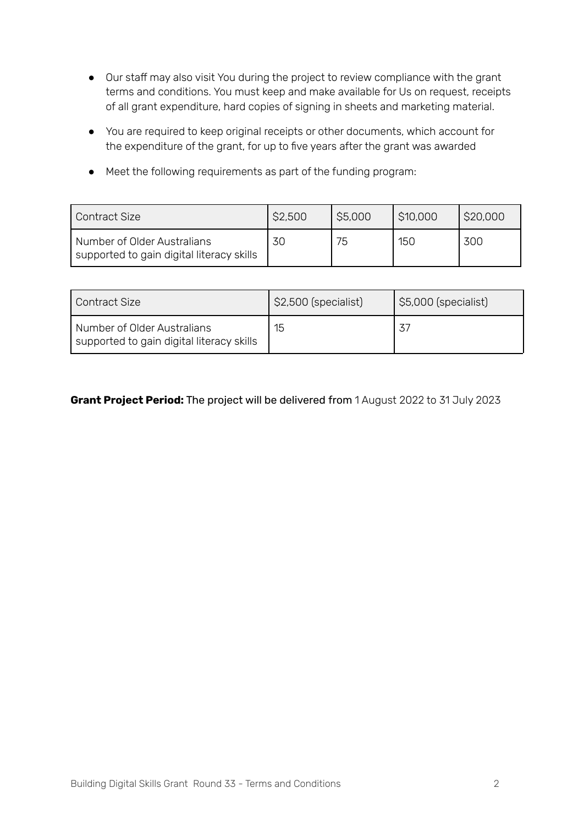- Our staff may also visit You during the project to review compliance with the grant terms and conditions. You must keep and make available for Us on request, receipts of all grant expenditure, hard copies of signing in sheets and marketing material.
- You are required to keep original receipts or other documents, which account for the expenditure of the grant, for up to five years after the grant was awarded
- Meet the following requirements as part of the funding program:

| Contract Size                                                            | \$2,500 | \$5,000 | \$10,000 | \$20,000 |
|--------------------------------------------------------------------------|---------|---------|----------|----------|
| Number of Older Australians<br>supported to gain digital literacy skills | 30      | 75      | 150      | 300      |

| Contract Size                                                            | \$2,500 (specialist) | \$5,000 (specialist) |
|--------------------------------------------------------------------------|----------------------|----------------------|
| Number of Older Australians<br>supported to gain digital literacy skills | 15                   |                      |

# **Grant Project Period:** The project will be delivered from 1 August 2022 to 31 July 2023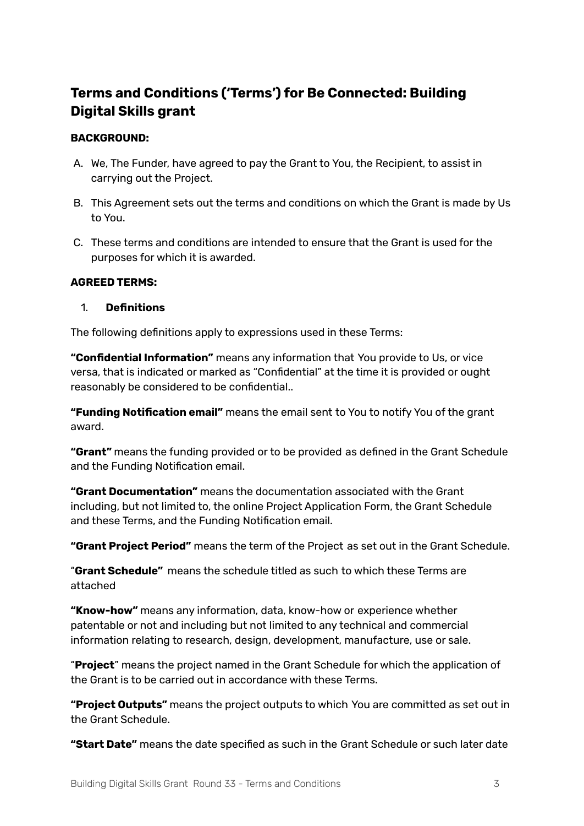# **Terms and Conditions ('Terms') for Be Connected: Building Digital Skills grant**

## **BACKGROUND:**

- A. We, The Funder, have agreed to pay the Grant to You, the Recipient, to assist in carrying out the Project.
- B. This Agreement sets out the terms and conditions on which the Grant is made by Us to You.
- C. These terms and conditions are intended to ensure that the Grant is used for the purposes for which it is awarded.

### **AGREED TERMS:**

#### 1. **Definitions**

The following definitions apply to expressions used in these Terms:

**"Confidential Information"** means any information that You provide to Us, or vice versa, that is indicated or marked as "Confidential" at the time it is provided or ought reasonably be considered to be confidential..

**"Funding Notification email"** means the email sent to You to notify You of the grant award.

**"Grant"** means the funding provided or to be provided as defined in the Grant Schedule and the Funding Notification email.

**"Grant Documentation"** means the documentation associated with the Grant including, but not limited to, the online Project Application Form, the Grant Schedule and these Terms, and the Funding Notification email.

**"Grant Project Period"** means the term of the Project as set out in the Grant Schedule.

"**Grant Schedule"** means the schedule titled as such to which these Terms are attached

**"Know-how"** means any information, data, know-how or experience whether patentable or not and including but not limited to any technical and commercial information relating to research, design, development, manufacture, use or sale.

"**Project**" means the project named in the Grant Schedule for which the application of the Grant is to be carried out in accordance with these Terms.

**"Project Outputs"** means the project outputs to which You are committed as set out in the Grant Schedule.

**"Start Date"** means the date specified as such in the Grant Schedule or such later date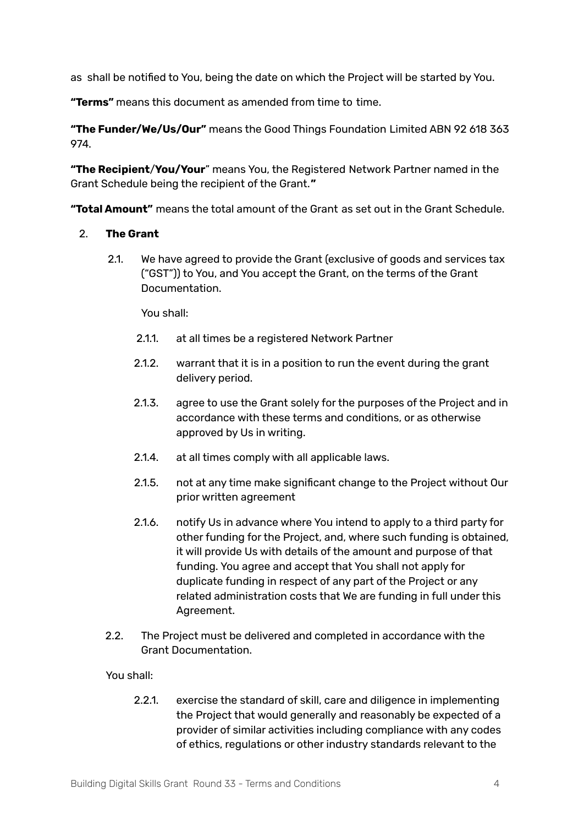as shall be notified to You, being the date on which the Project will be started by You.

**"Terms"** means this document as amended from time to time.

**"The Funder/We/Us/Our"** means the Good Things Foundation Limited ABN 92 618 363 974.

**"The Recipient**/**You/Your**" means You, the Registered Network Partner named in the Grant Schedule being the recipient of the Grant.**"**

**"Total Amount"** means the total amount of the Grant as set out in the Grant Schedule.

### 2. **The Grant**

2.1. We have agreed to provide the Grant (exclusive of goods and services tax ("GST")) to You, and You accept the Grant, on the terms of the Grant Documentation.

You shall:

- 2.1.1. at all times be a registered Network Partner
- 2.1.2. warrant that it is in a position to run the event during the grant delivery period.
- 2.1.3. agree to use the Grant solely for the purposes of the Project and in accordance with these terms and conditions, or as otherwise approved by Us in writing.
- 2.1.4. at all times comply with all applicable laws.
- 2.1.5. not at any time make significant change to the Project without Our prior written agreement
- 2.1.6. notify Us in advance where You intend to apply to a third party for other funding for the Project, and, where such funding is obtained, it will provide Us with details of the amount and purpose of that funding. You agree and accept that You shall not apply for duplicate funding in respect of any part of the Project or any related administration costs that We are funding in full under this Agreement.
- 2.2. The Project must be delivered and completed in accordance with the Grant Documentation.

You shall:

2.2.1. exercise the standard of skill, care and diligence in implementing the Project that would generally and reasonably be expected of a provider of similar activities including compliance with any codes of ethics, regulations or other industry standards relevant to the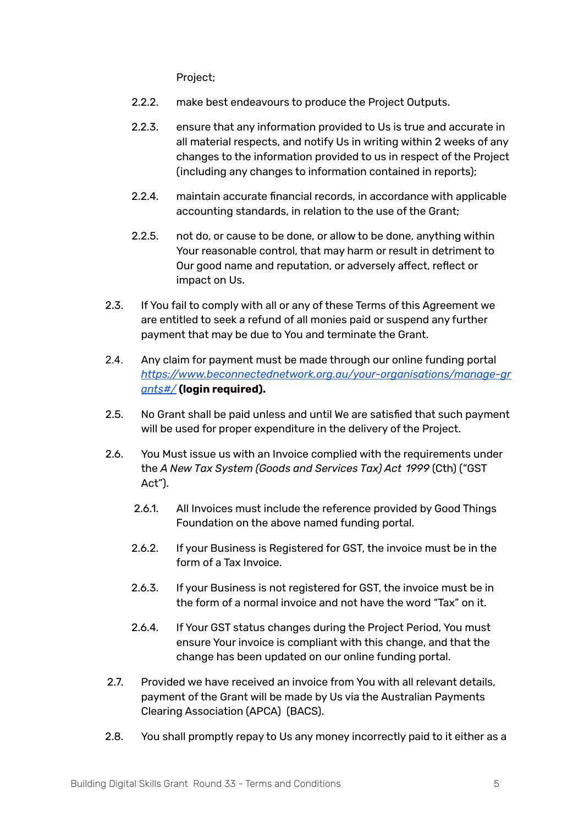Project;

- 2.2.2. make best endeavours to produce the Project Outputs.
- 2.2.3. ensure that any information provided to Us is true and accurate in all material respects, and notify Us in writing within 2 weeks of any changes to the information provided to us in respect of the Project (including any changes to information contained in reports);
- 2.2.4. maintain accurate financial records, in accordance with applicable accounting standards, in relation to the use of the Grant;
- 2.2.5. not do, or cause to be done, or allow to be done, anything within Your reasonable control, that may harm or result in detriment to Our good name and reputation, or adversely affect, reflect or impact on Us.
- 2.3. If You fail to comply with all or any of these Terms of this Agreement we are entitled to seek a refund of all monies paid or suspend any further payment that may be due to You and terminate the Grant.
- 2.4. Any claim for payment must be made through our online funding portal *https:/ [www.beconnectednetwork.org.au/your-organisations/manage-gr](https://www.beconnectednetwork.org.au/your-organisations/manage-grants#/) [ants#/](https://www.beconnectednetwork.org.au/your-organisations/manage-grants#/)* **(login required).**
- 2.5. No Grant shall be paid unless and until We are satisfied that such payment will be used for proper expenditure in the delivery of the Project.
- 2.6. You Must issue us with an Invoice complied with the requirements under the *A New Tax System (Goods and Services Tax) Act 1999* (Cth) ("GST Act").
	- 2.6.1. All Invoices must include the reference provided by Good Things Foundation on the above named funding portal.
	- 2.6.2. If your Business is Registered for GST, the invoice must be in the form of a Tax Invoice.
	- 2.6.3. If your Business is not registered for GST, the invoice must be in the form of a normal invoice and not have the word "Tax" on it.
	- 2.6.4. If Your GST status changes during the Project Period, You must ensure Your invoice is compliant with this change, and that the change has been updated on our online funding portal.
- 2.7. Provided we have received an invoice from You with all relevant details, payment of the Grant will be made by Us via the Australian Payments Clearing Association (APCA) (BACS).
- 2.8. You shall promptly repay to Us any money incorrectly paid to it either as a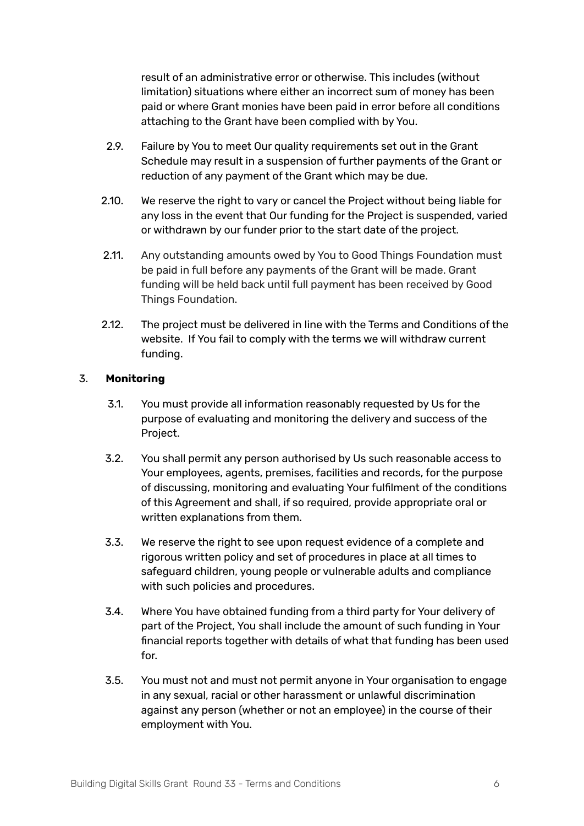result of an administrative error or otherwise. This includes (without limitation) situations where either an incorrect sum of money has been paid or where Grant monies have been paid in error before all conditions attaching to the Grant have been complied with by You.

- 2.9. Failure by You to meet Our quality requirements set out in the Grant Schedule may result in a suspension of further payments of the Grant or reduction of any payment of the Grant which may be due.
- 2.10. We reserve the right to vary or cancel the Project without being liable for any loss in the event that Our funding for the Project is suspended, varied or withdrawn by our funder prior to the start date of the project.
- 2.11. Any outstanding amounts owed by You to Good Things Foundation must be paid in full before any payments of the Grant will be made. Grant funding will be held back until full payment has been received by Good Things Foundation.
- 2.12. The project must be delivered in line with the Terms and Conditions of the website. If You fail to comply with the terms we will withdraw current funding.

# 3. **Monitoring**

- 3.1. You must provide all information reasonably requested by Us for the purpose of evaluating and monitoring the delivery and success of the Project.
- 3.2. You shall permit any person authorised by Us such reasonable access to Your employees, agents, premises, facilities and records, for the purpose of discussing, monitoring and evaluating Your fulfilment of the conditions of this Agreement and shall, if so required, provide appropriate oral or written explanations from them.
- 3.3. We reserve the right to see upon request evidence of a complete and rigorous written policy and set of procedures in place at all times to safeguard children, young people or vulnerable adults and compliance with such policies and procedures.
- 3.4. Where You have obtained funding from a third party for Your delivery of part of the Project, You shall include the amount of such funding in Your financial reports together with details of what that funding has been used for.
- 3.5. You must not and must not permit anyone in Your organisation to engage in any sexual, racial or other harassment or unlawful discrimination against any person (whether or not an employee) in the course of their employment with You.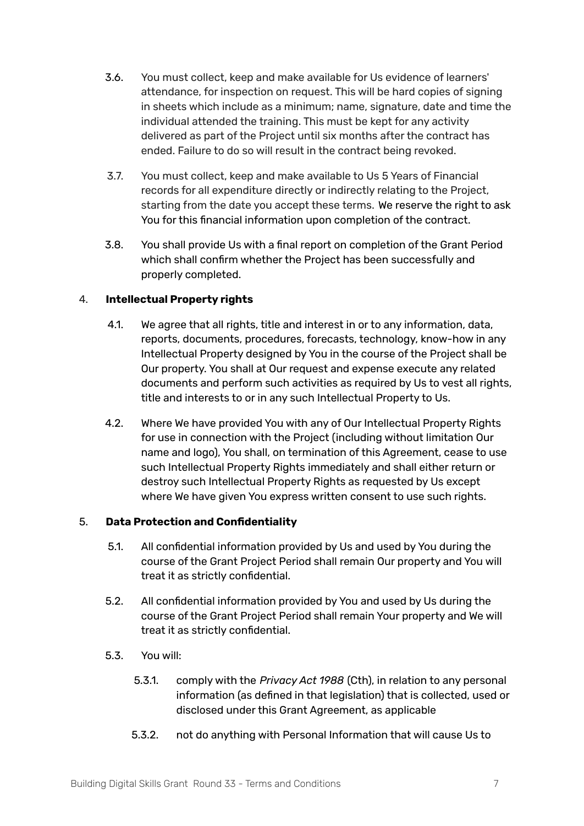- 3.6. You must collect, keep and make available for Us evidence of learners' attendance, for inspection on request. This will be hard copies of signing in sheets which include as a minimum; name, signature, date and time the individual attended the training. This must be kept for any activity delivered as part of the Project until six months after the contract has ended. Failure to do so will result in the contract being revoked.
- 3.7. You must collect, keep and make available to Us 5 Years of Financial records for all expenditure directly or indirectly relating to the Project, starting from the date you accept these terms. We reserve the right to ask You for this financial information upon completion of the contract.
- 3.8. You shall provide Us with a final report on completion of the Grant Period which shall confirm whether the Project has been successfully and properly completed.

# 4. **Intellectual Property rights**

- 4.1. We agree that all rights, title and interest in or to any information, data, reports, documents, procedures, forecasts, technology, know-how in any Intellectual Property designed by You in the course of the Project shall be Our property. You shall at Our request and expense execute any related documents and perform such activities as required by Us to vest all rights, title and interests to or in any such Intellectual Property to Us.
- 4.2. Where We have provided You with any of Our Intellectual Property Rights for use in connection with the Project (including without limitation Our name and logo), You shall, on termination of this Agreement, cease to use such Intellectual Property Rights immediately and shall either return or destroy such Intellectual Property Rights as requested by Us except where We have given You express written consent to use such rights.

# 5. **Data Protection and Confidentiality**

- 5.1. All confidential information provided by Us and used by You during the course of the Grant Project Period shall remain Our property and You will treat it as strictly confidential.
- 5.2. All confidential information provided by You and used by Us during the course of the Grant Project Period shall remain Your property and We will treat it as strictly confidential.
- 5.3. You will:
	- 5.3.1. comply with the *Privacy Act 1988* (Cth), in relation to any personal information (as defined in that legislation) that is collected, used or disclosed under this Grant Agreement, as applicable
	- 5.3.2. not do anything with Personal Information that will cause Us to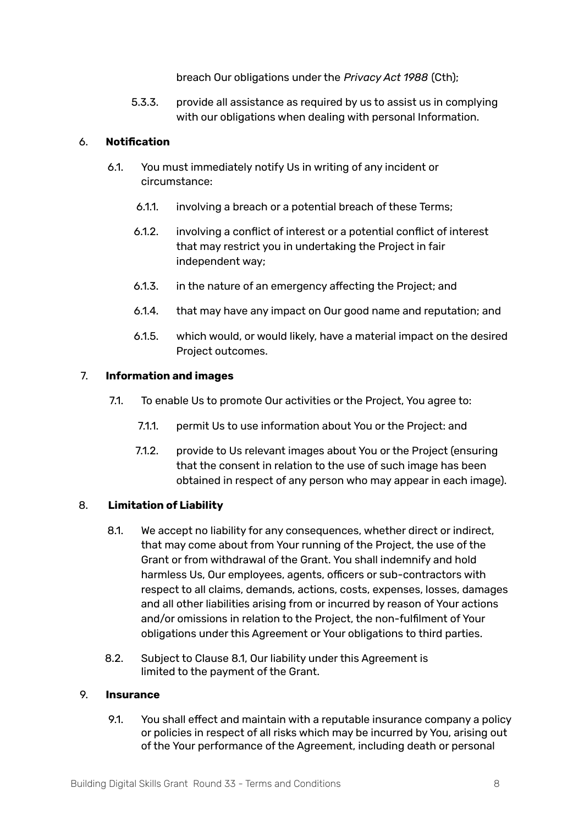breach Our obligations under the *Privacy Act 1988* (Cth);

5.3.3. provide all assistance as required by us to assist us in complying with our obligations when dealing with personal Information.

#### 6. **Notification**

- 6.1. You must immediately notify Us in writing of any incident or circumstance:
	- 6.1.1. involving a breach or a potential breach of these Terms;
	- 6.1.2. involving a conflict of interest or a potential conflict of interest that may restrict you in undertaking the Project in fair independent way;
	- 6.1.3. in the nature of an emergency affecting the Project; and
	- 6.1.4. that may have any impact on Our good name and reputation; and
	- 6.1.5. which would, or would likely, have a material impact on the desired Project outcomes.

### 7. **Information and images**

- 7.1. To enable Us to promote Our activities or the Project, You agree to:
	- 7.1.1. permit Us to use information about You or the Project: and
	- 7.1.2. provide to Us relevant images about You or the Project (ensuring that the consent in relation to the use of such image has been obtained in respect of any person who may appear in each image).

# 8. **Limitation of Liability**

- 8.1. We accept no liability for any consequences, whether direct or indirect, that may come about from Your running of the Project, the use of the Grant or from withdrawal of the Grant. You shall indemnify and hold harmless Us, Our employees, agents, officers or sub-contractors with respect to all claims, demands, actions, costs, expenses, losses, damages and all other liabilities arising from or incurred by reason of Your actions and/or omissions in relation to the Project, the non-fulfilment of Your obligations under this Agreement or Your obligations to third parties.
- 8.2. Subject to Clause 8.1, Our liability under this Agreement is limited to the payment of the Grant.

#### 9. **Insurance**

9.1. You shall effect and maintain with a reputable insurance company a policy or policies in respect of all risks which may be incurred by You, arising out of the Your performance of the Agreement, including death or personal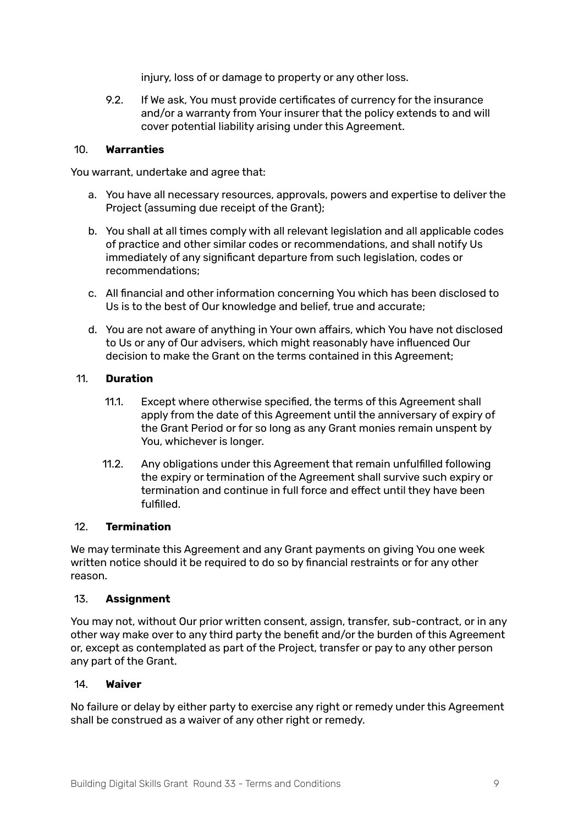injury, loss of or damage to property or any other loss.

9.2. If We ask, You must provide certificates of currency for the insurance and/or a warranty from Your insurer that the policy extends to and will cover potential liability arising under this Agreement.

#### 10. **Warranties**

You warrant, undertake and agree that:

- a. You have all necessary resources, approvals, powers and expertise to deliver the Project (assuming due receipt of the Grant);
- b. You shall at all times comply with all relevant legislation and all applicable codes of practice and other similar codes or recommendations, and shall notify Us immediately of any significant departure from such legislation, codes or recommendations;
- c. All financial and other information concerning You which has been disclosed to Us is to the best of Our knowledge and belief, true and accurate;
- d. You are not aware of anything in Your own affairs, which You have not disclosed to Us or any of Our advisers, which might reasonably have influenced Our decision to make the Grant on the terms contained in this Agreement;

#### 11. **Duration**

- 11.1. Except where otherwise specified, the terms of this Agreement shall apply from the date of this Agreement until the anniversary of expiry of the Grant Period or for so long as any Grant monies remain unspent by You, whichever is longer.
- 11.2. Any obligations under this Agreement that remain unfulfilled following the expiry or termination of the Agreement shall survive such expiry or termination and continue in full force and effect until they have been fulfilled.

#### 12. **Termination**

We may terminate this Agreement and any Grant payments on giving You one week written notice should it be required to do so by financial restraints or for any other reason.

#### 13. **Assignment**

You may not, without Our prior written consent, assign, transfer, sub-contract, or in any other way make over to any third party the benefit and/or the burden of this Agreement or, except as contemplated as part of the Project, transfer or pay to any other person any part of the Grant.

#### 14. **Waiver**

No failure or delay by either party to exercise any right or remedy under this Agreement shall be construed as a waiver of any other right or remedy.